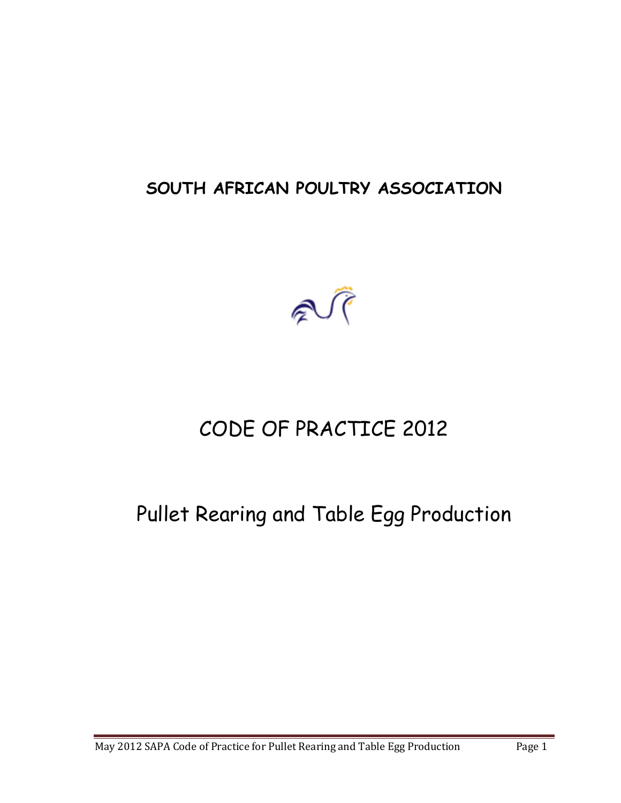# **SOUTH AFRICAN POULTRY ASSOCIATION**



# CODE OF PRACTICE 2012

# Pullet Rearing and Table Egg Production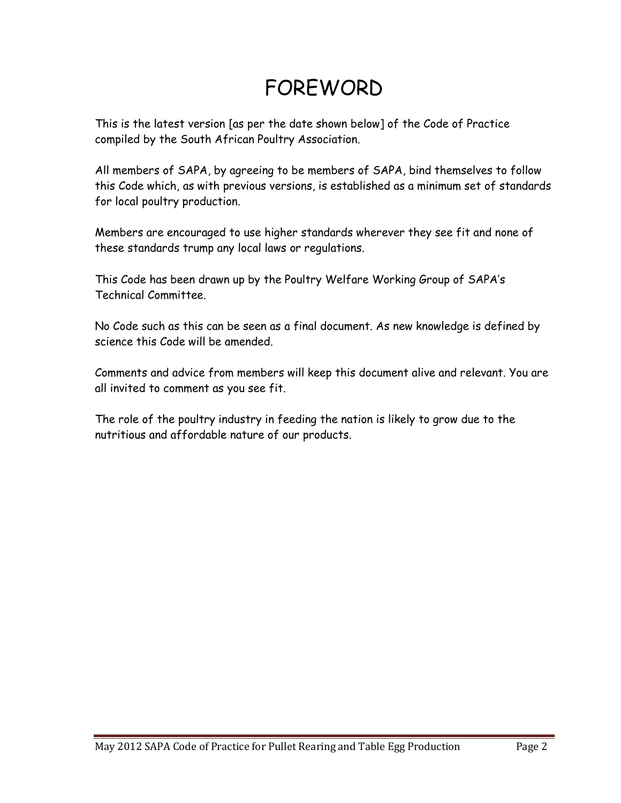# FOREWORD

This is the latest version [as per the date shown below] of the Code of Practice compiled by the South African Poultry Association.

All members of SAPA, by agreeing to be members of SAPA, bind themselves to follow this Code which, as with previous versions, is established as a minimum set of standards for local poultry production.

Members are encouraged to use higher standards wherever they see fit and none of these standards trump any local laws or regulations.

This Code has been drawn up by the Poultry Welfare Working Group of SAPA's Technical Committee.

No Code such as this can be seen as a final document. As new knowledge is defined by science this Code will be amended.

Comments and advice from members will keep this document alive and relevant. You are all invited to comment as you see fit.

The role of the poultry industry in feeding the nation is likely to grow due to the nutritious and affordable nature of our products.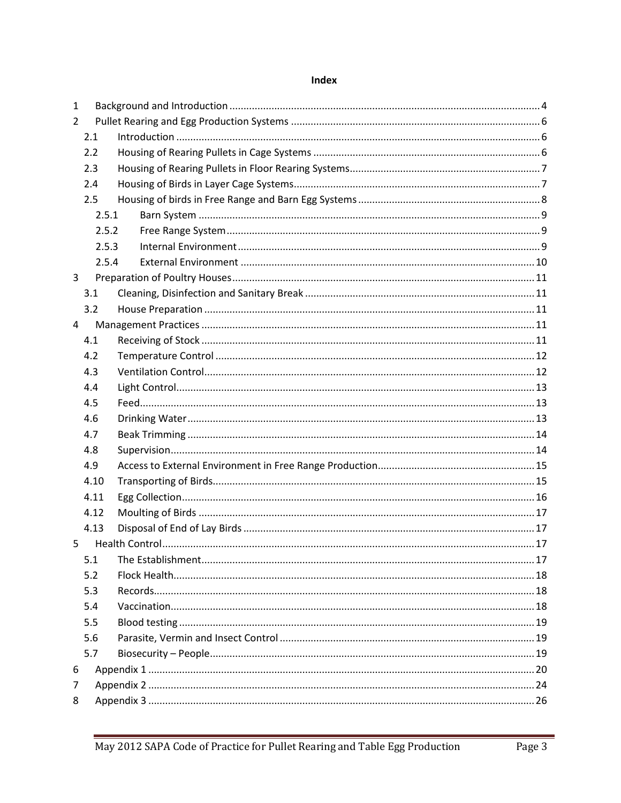| $\mathbf{1}$   |       |  |  |  |  |  |  |
|----------------|-------|--|--|--|--|--|--|
| $\overline{2}$ |       |  |  |  |  |  |  |
|                | 2.1   |  |  |  |  |  |  |
|                | 2.2   |  |  |  |  |  |  |
|                | 2.3   |  |  |  |  |  |  |
|                | 2.4   |  |  |  |  |  |  |
|                | 2.5   |  |  |  |  |  |  |
|                | 2.5.1 |  |  |  |  |  |  |
|                | 2.5.2 |  |  |  |  |  |  |
|                | 2.5.3 |  |  |  |  |  |  |
|                | 2.5.4 |  |  |  |  |  |  |
| 3              |       |  |  |  |  |  |  |
|                | 3.1   |  |  |  |  |  |  |
|                | 3.2   |  |  |  |  |  |  |
| 4              |       |  |  |  |  |  |  |
|                | 4.1   |  |  |  |  |  |  |
|                | 4.2   |  |  |  |  |  |  |
|                | 4.3   |  |  |  |  |  |  |
|                | 4.4   |  |  |  |  |  |  |
|                | 4.5   |  |  |  |  |  |  |
|                | 4.6   |  |  |  |  |  |  |
|                | 4.7   |  |  |  |  |  |  |
|                | 4.8   |  |  |  |  |  |  |
|                | 4.9   |  |  |  |  |  |  |
|                | 4.10  |  |  |  |  |  |  |
|                | 4.11  |  |  |  |  |  |  |
|                | 4.12  |  |  |  |  |  |  |
|                | 4.13  |  |  |  |  |  |  |
| 5              |       |  |  |  |  |  |  |
|                | 5.1   |  |  |  |  |  |  |
|                | 5.2   |  |  |  |  |  |  |
|                | 5.3   |  |  |  |  |  |  |
|                | 5.4   |  |  |  |  |  |  |
|                | 5.5   |  |  |  |  |  |  |
|                | 5.6   |  |  |  |  |  |  |
|                | 5.7   |  |  |  |  |  |  |
| 6              |       |  |  |  |  |  |  |
| 7              |       |  |  |  |  |  |  |
| 8              |       |  |  |  |  |  |  |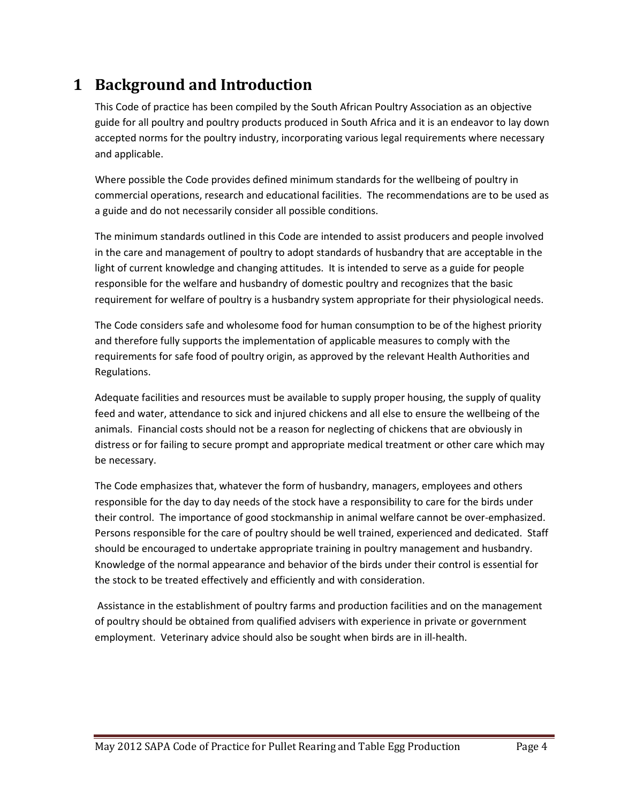# <span id="page-3-0"></span>**1 Background and Introduction**

This Code of practice has been compiled by the South African Poultry Association as an objective guide for all poultry and poultry products produced in South Africa and it is an endeavor to lay down accepted norms for the poultry industry, incorporating various legal requirements where necessary and applicable.

Where possible the Code provides defined minimum standards for the wellbeing of poultry in commercial operations, research and educational facilities. The recommendations are to be used as a guide and do not necessarily consider all possible conditions.

The minimum standards outlined in this Code are intended to assist producers and people involved in the care and management of poultry to adopt standards of husbandry that are acceptable in the light of current knowledge and changing attitudes. It is intended to serve as a guide for people responsible for the welfare and husbandry of domestic poultry and recognizes that the basic requirement for welfare of poultry is a husbandry system appropriate for their physiological needs.

The Code considers safe and wholesome food for human consumption to be of the highest priority and therefore fully supports the implementation of applicable measures to comply with the requirements for safe food of poultry origin, as approved by the relevant Health Authorities and Regulations.

Adequate facilities and resources must be available to supply proper housing, the supply of quality feed and water, attendance to sick and injured chickens and all else to ensure the wellbeing of the animals. Financial costs should not be a reason for neglecting of chickens that are obviously in distress or for failing to secure prompt and appropriate medical treatment or other care which may be necessary.

The Code emphasizes that, whatever the form of husbandry, managers, employees and others responsible for the day to day needs of the stock have a responsibility to care for the birds under their control. The importance of good stockmanship in animal welfare cannot be over-emphasized. Persons responsible for the care of poultry should be well trained, experienced and dedicated. Staff should be encouraged to undertake appropriate training in poultry management and husbandry. Knowledge of the normal appearance and behavior of the birds under their control is essential for the stock to be treated effectively and efficiently and with consideration.

Assistance in the establishment of poultry farms and production facilities and on the management of poultry should be obtained from qualified advisers with experience in private or government employment. Veterinary advice should also be sought when birds are in ill-health.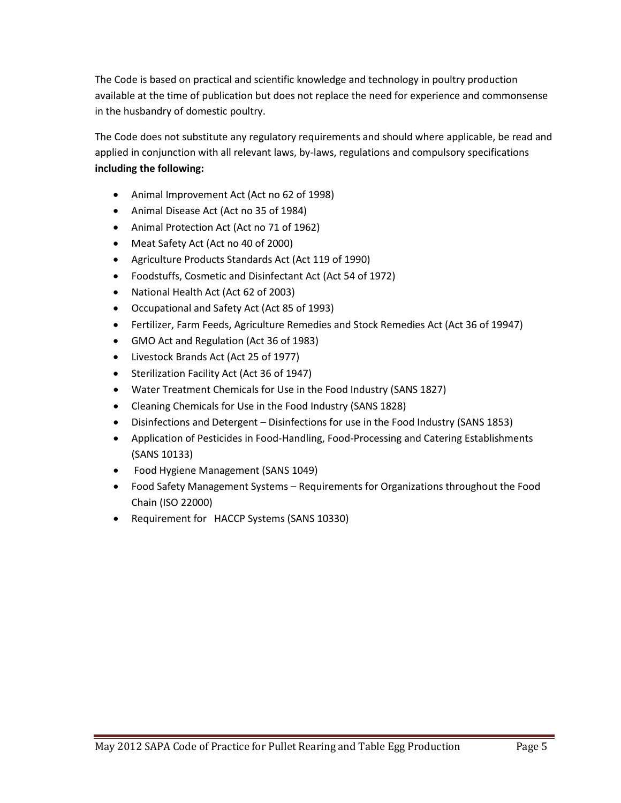The Code is based on practical and scientific knowledge and technology in poultry production available at the time of publication but does not replace the need for experience and commonsense in the husbandry of domestic poultry.

The Code does not substitute any regulatory requirements and should where applicable, be read and applied in conjunction with all relevant laws, by-laws, regulations and compulsory specifications **including the following:**

- Animal Improvement Act (Act no 62 of 1998)
- Animal Disease Act (Act no 35 of 1984)
- Animal Protection Act (Act no 71 of 1962)
- Meat Safety Act (Act no 40 of 2000)
- Agriculture Products Standards Act (Act 119 of 1990)
- Foodstuffs, Cosmetic and Disinfectant Act (Act 54 of 1972)
- National Health Act (Act 62 of 2003)
- Occupational and Safety Act (Act 85 of 1993)
- Fertilizer, Farm Feeds, Agriculture Remedies and Stock Remedies Act (Act 36 of 19947)
- GMO Act and Regulation (Act 36 of 1983)
- Livestock Brands Act (Act 25 of 1977)
- Sterilization Facility Act (Act 36 of 1947)
- Water Treatment Chemicals for Use in the Food Industry (SANS 1827)
- Cleaning Chemicals for Use in the Food Industry (SANS 1828)
- Disinfections and Detergent Disinfections for use in the Food Industry (SANS 1853)
- Application of Pesticides in Food-Handling, Food-Processing and Catering Establishments (SANS 10133)
- Food Hygiene Management (SANS 1049)
- Food Safety Management Systems Requirements for Organizations throughout the Food Chain (ISO 22000)
- Requirement for HACCP Systems (SANS 10330)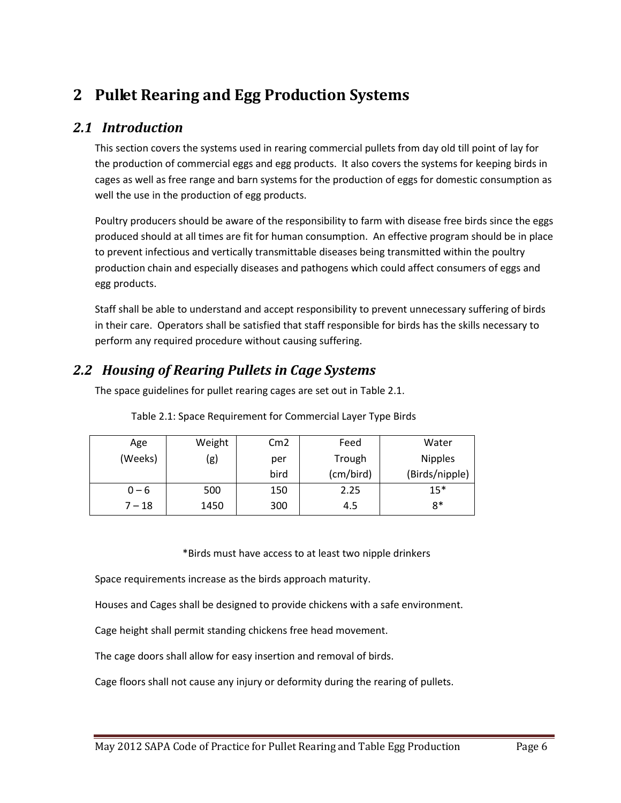# <span id="page-5-0"></span>**2 Pullet Rearing and Egg Production Systems**

#### <span id="page-5-1"></span>*2.1 Introduction*

This section covers the systems used in rearing commercial pullets from day old till point of lay for the production of commercial eggs and egg products. It also covers the systems for keeping birds in cages as well as free range and barn systems for the production of eggs for domestic consumption as well the use in the production of egg products.

Poultry producers should be aware of the responsibility to farm with disease free birds since the eggs produced should at all times are fit for human consumption. An effective program should be in place to prevent infectious and vertically transmittable diseases being transmitted within the poultry production chain and especially diseases and pathogens which could affect consumers of eggs and egg products.

Staff shall be able to understand and accept responsibility to prevent unnecessary suffering of birds in their care. Operators shall be satisfied that staff responsible for birds has the skills necessary to perform any required procedure without causing suffering.

### <span id="page-5-2"></span>*2.2 Housing of Rearing Pullets in Cage Systems*

The space guidelines for pullet rearing cages are set out in Table 2.1.

| Age      | Weight | Cm <sub>2</sub> | Feed      | Water          |  |
|----------|--------|-----------------|-----------|----------------|--|
| (Weeks)  | (g)    | per             | Trough    | <b>Nipples</b> |  |
|          |        | bird            | (cm/bird) | (Birds/nipple) |  |
| $0 - 6$  | 500    | 150             | 2.25      | $15*$          |  |
| $7 - 18$ | 1450   | 300             | 4.5       | 8*             |  |

Table 2.1: Space Requirement for Commercial Layer Type Birds

\*Birds must have access to at least two nipple drinkers

Space requirements increase as the birds approach maturity.

Houses and Cages shall be designed to provide chickens with a safe environment.

Cage height shall permit standing chickens free head movement.

The cage doors shall allow for easy insertion and removal of birds.

Cage floors shall not cause any injury or deformity during the rearing of pullets.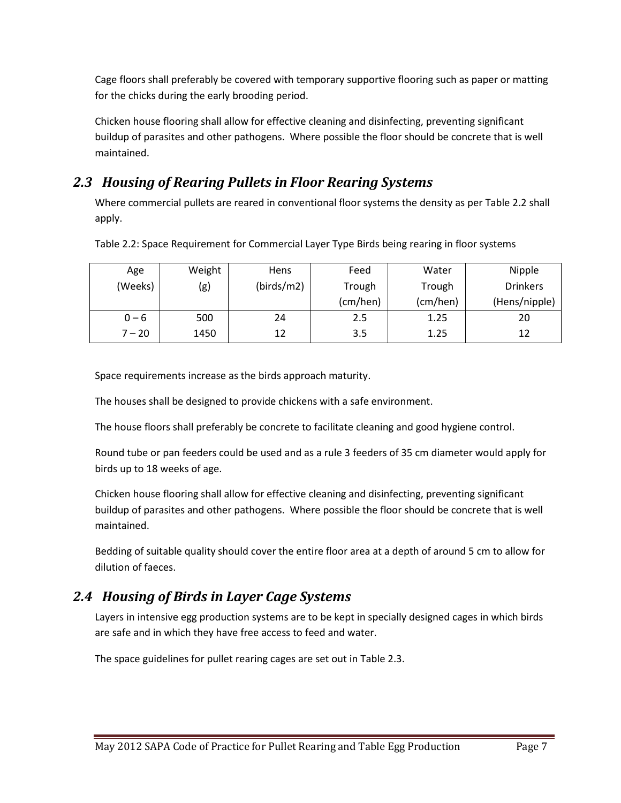Cage floors shall preferably be covered with temporary supportive flooring such as paper or matting for the chicks during the early brooding period.

Chicken house flooring shall allow for effective cleaning and disinfecting, preventing significant buildup of parasites and other pathogens. Where possible the floor should be concrete that is well maintained.

### <span id="page-6-0"></span>*2.3 Housing of Rearing Pullets in Floor Rearing Systems*

Where commercial pullets are reared in conventional floor systems the density as per Table 2.2 shall apply.

| Age      | Weight            | <b>Hens</b> | Feed     | Water    | Nipple          |  |
|----------|-------------------|-------------|----------|----------|-----------------|--|
| (Weeks)  | (birds/m2)<br>(g) |             | Trough   | Trough   | <b>Drinkers</b> |  |
|          |                   |             | (cm/hen) | (cm/hen) | (Hens/nipple)   |  |
| $0 - 6$  | 500               | 24          | 2.5      | 1.25     | 20              |  |
| $7 - 20$ | 1450              | 12          | 3.5      | 1.25     | 12              |  |

Table 2.2: Space Requirement for Commercial Layer Type Birds being rearing in floor systems

Space requirements increase as the birds approach maturity.

The houses shall be designed to provide chickens with a safe environment.

The house floors shall preferably be concrete to facilitate cleaning and good hygiene control.

Round tube or pan feeders could be used and as a rule 3 feeders of 35 cm diameter would apply for birds up to 18 weeks of age.

Chicken house flooring shall allow for effective cleaning and disinfecting, preventing significant buildup of parasites and other pathogens. Where possible the floor should be concrete that is well maintained.

Bedding of suitable quality should cover the entire floor area at a depth of around 5 cm to allow for dilution of faeces.

### <span id="page-6-1"></span>*2.4 Housing of Birds in Layer Cage Systems*

Layers in intensive egg production systems are to be kept in specially designed cages in which birds are safe and in which they have free access to feed and water.

The space guidelines for pullet rearing cages are set out in Table 2.3.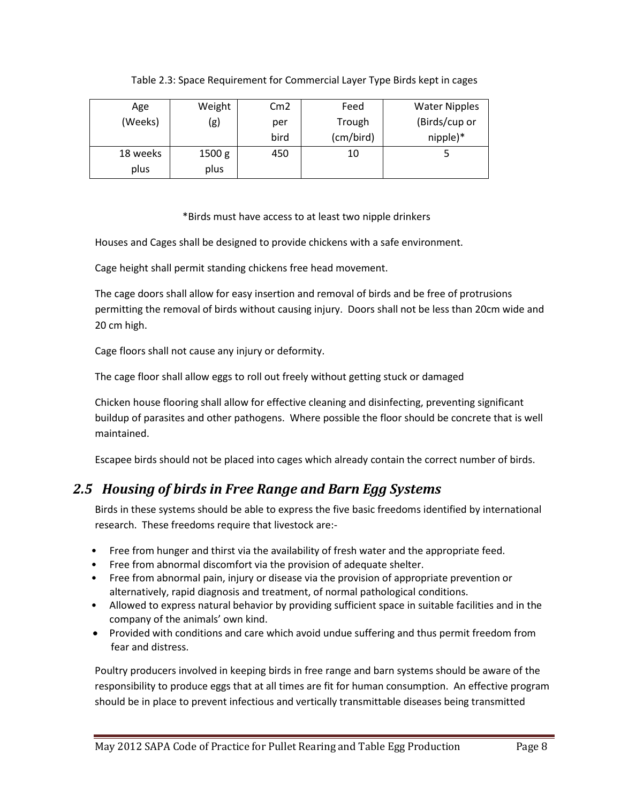#### Table 2.3: Space Requirement for Commercial Layer Type Birds kept in cages

| Age      | Weight | Cm2  | Feed      | <b>Water Nipples</b> |
|----------|--------|------|-----------|----------------------|
| (Weeks)  | (g)    | per  | Trough    | (Birds/cup or        |
|          |        | bird | (cm/bird) | nipple)*             |
| 18 weeks | 1500 g | 450  | 10        |                      |
| plus     | plus   |      |           |                      |

#### \*Birds must have access to at least two nipple drinkers

Houses and Cages shall be designed to provide chickens with a safe environment.

Cage height shall permit standing chickens free head movement.

The cage doors shall allow for easy insertion and removal of birds and be free of protrusions permitting the removal of birds without causing injury. Doors shall not be less than 20cm wide and 20 cm high.

Cage floors shall not cause any injury or deformity.

The cage floor shall allow eggs to roll out freely without getting stuck or damaged

Chicken house flooring shall allow for effective cleaning and disinfecting, preventing significant buildup of parasites and other pathogens. Where possible the floor should be concrete that is well maintained.

Escapee birds should not be placed into cages which already contain the correct number of birds.

### <span id="page-7-0"></span>*2.5 Housing of birds in Free Range and Barn Egg Systems*

Birds in these systems should be able to express the five basic freedoms identified by international research. These freedoms require that livestock are:-

- Free from hunger and thirst via the availability of fresh water and the appropriate feed.
- Free from abnormal discomfort via the provision of adequate shelter.
- Free from abnormal pain, injury or disease via the provision of appropriate prevention or alternatively, rapid diagnosis and treatment, of normal pathological conditions.
- Allowed to express natural behavior by providing sufficient space in suitable facilities and in the company of the animals' own kind.
- Provided with conditions and care which avoid undue suffering and thus permit freedom from fear and distress.

Poultry producers involved in keeping birds in free range and barn systems should be aware of the responsibility to produce eggs that at all times are fit for human consumption. An effective program should be in place to prevent infectious and vertically transmittable diseases being transmitted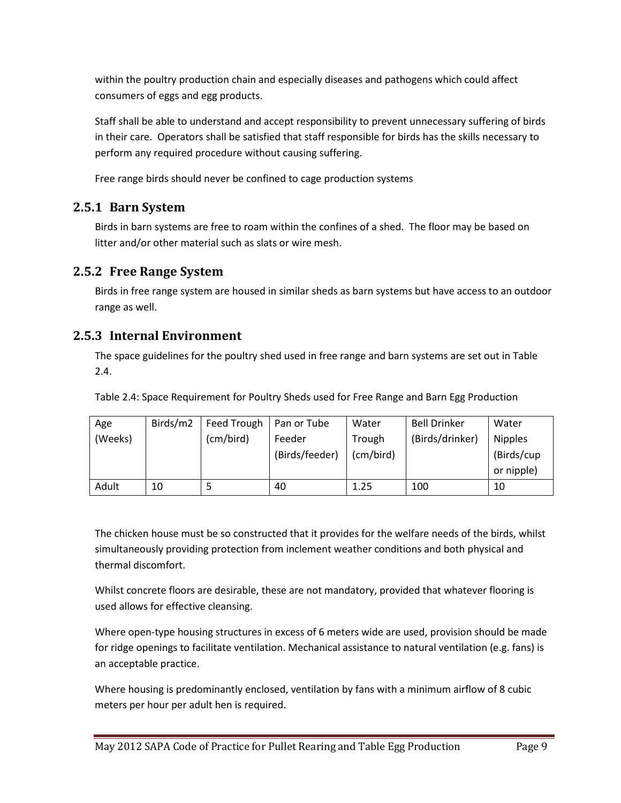within the poultry production chain and especially diseases and pathogens which could affect consumers of eggs and egg products.

Staff shall be able to understand and accept responsibility to prevent unnecessary suffering of birds in their care. Operators shall be satisfied that staff responsible for birds has the skills necessary to perform any required procedure without causing suffering.

Free range birds should never be confined to cage production systems

### <span id="page-8-0"></span>**2.5.1 Barn System**

Birds in barn systems are free to roam within the confines of a shed. The floor may be based on litter and/or other material such as slats or wire mesh.

#### <span id="page-8-1"></span>**2.5.2 Free Range System**

Birds in free range system are housed in similar sheds as barn systems but have access to an outdoor range as well.

#### <span id="page-8-2"></span>**2.5.3 Internal Environment**

The space guidelines for the poultry shed used in free range and barn systems are set out in Table 2.4.

Table 2.4: Space Requirement for Poultry Sheds used for Free Range and Barn Egg Production

| Age     | Birds/m2 | Feed Trough | Pan or Tube    | Water     | <b>Bell Drinker</b> | Water          |  |
|---------|----------|-------------|----------------|-----------|---------------------|----------------|--|
| (Weeks) |          | (cm/bird)   | Feeder         | Trough    | (Birds/drinker)     | <b>Nipples</b> |  |
|         |          |             | (Birds/feeder) | (cm/bird) |                     | (Birds/cup     |  |
|         |          |             |                |           |                     | or nipple)     |  |
| Adult   | 10       |             | 40             | 1.25      | 100                 | 10             |  |

The chicken house must be so constructed that it provides for the welfare needs of the birds, whilst simultaneously providing protection from inclement weather conditions and both physical and thermal discomfort.

Whilst concrete floors are desirable, these are not mandatory, provided that whatever flooring is used allows for effective cleansing.

Where open-type housing structures in excess of 6 meters wide are used, provision should be made for ridge openings to facilitate ventilation. Mechanical assistance to natural ventilation (e.g. fans) is an acceptable practice.

Where housing is predominantly enclosed, ventilation by fans with a minimum airflow of 8 cubic meters per hour per adult hen is required.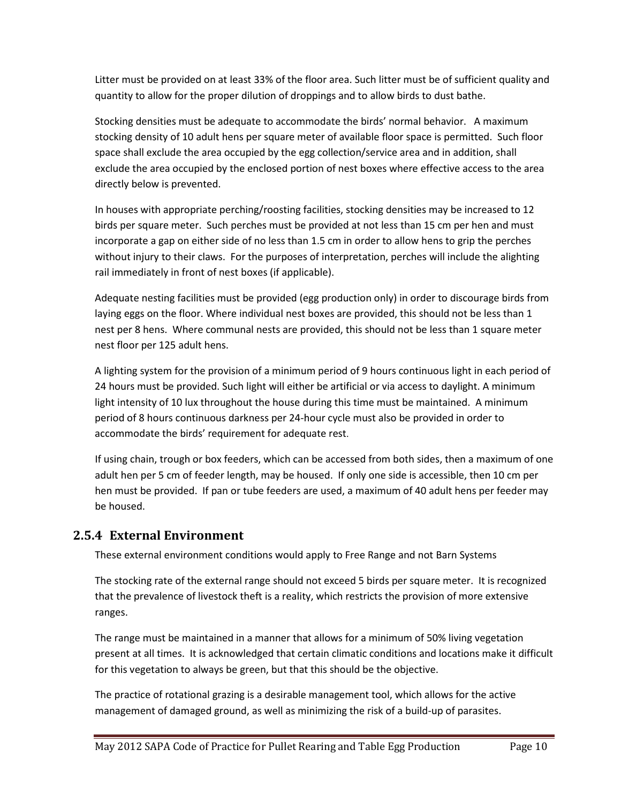Litter must be provided on at least 33% of the floor area. Such litter must be of sufficient quality and quantity to allow for the proper dilution of droppings and to allow birds to dust bathe.

Stocking densities must be adequate to accommodate the birds' normal behavior. A maximum stocking density of 10 adult hens per square meter of available floor space is permitted. Such floor space shall exclude the area occupied by the egg collection/service area and in addition, shall exclude the area occupied by the enclosed portion of nest boxes where effective access to the area directly below is prevented.

In houses with appropriate perching/roosting facilities, stocking densities may be increased to 12 birds per square meter. Such perches must be provided at not less than 15 cm per hen and must incorporate a gap on either side of no less than 1.5 cm in order to allow hens to grip the perches without injury to their claws. For the purposes of interpretation, perches will include the alighting rail immediately in front of nest boxes (if applicable).

Adequate nesting facilities must be provided (egg production only) in order to discourage birds from laying eggs on the floor. Where individual nest boxes are provided, this should not be less than 1 nest per 8 hens. Where communal nests are provided, this should not be less than 1 square meter nest floor per 125 adult hens.

A lighting system for the provision of a minimum period of 9 hours continuous light in each period of 24 hours must be provided. Such light will either be artificial or via access to daylight. A minimum light intensity of 10 lux throughout the house during this time must be maintained. A minimum period of 8 hours continuous darkness per 24-hour cycle must also be provided in order to accommodate the birds' requirement for adequate rest.

If using chain, trough or box feeders, which can be accessed from both sides, then a maximum of one adult hen per 5 cm of feeder length, may be housed. If only one side is accessible, then 10 cm per hen must be provided. If pan or tube feeders are used, a maximum of 40 adult hens per feeder may be housed.

#### <span id="page-9-0"></span>**2.5.4 External Environment**

These external environment conditions would apply to Free Range and not Barn Systems

The stocking rate of the external range should not exceed 5 birds per square meter. It is recognized that the prevalence of livestock theft is a reality, which restricts the provision of more extensive ranges.

The range must be maintained in a manner that allows for a minimum of 50% living vegetation present at all times. It is acknowledged that certain climatic conditions and locations make it difficult for this vegetation to always be green, but that this should be the objective.

The practice of rotational grazing is a desirable management tool, which allows for the active management of damaged ground, as well as minimizing the risk of a build-up of parasites.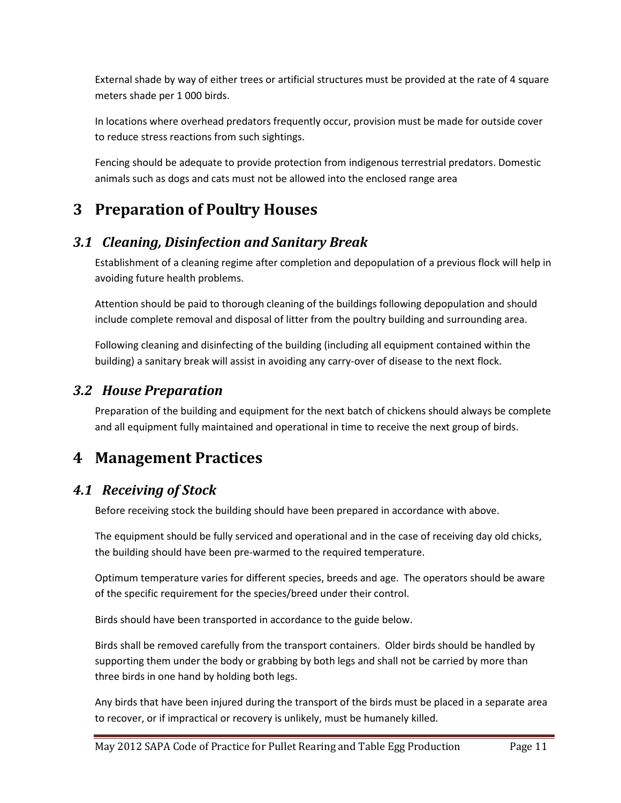External shade by way of either trees or artificial structures must be provided at the rate of 4 square meters shade per 1 000 birds.

In locations where overhead predators frequently occur, provision must be made for outside cover to reduce stress reactions from such sightings.

Fencing should be adequate to provide protection from indigenous terrestrial predators. Domestic animals such as dogs and cats must not be allowed into the enclosed range area

# <span id="page-10-0"></span>**3 Preparation of Poultry Houses**

### <span id="page-10-1"></span>*3.1 Cleaning, Disinfection and Sanitary Break*

Establishment of a cleaning regime after completion and depopulation of a previous flock will help in avoiding future health problems.

Attention should be paid to thorough cleaning of the buildings following depopulation and should include complete removal and disposal of litter from the poultry building and surrounding area.

Following cleaning and disinfecting of the building (including all equipment contained within the building) a sanitary break will assist in avoiding any carry-over of disease to the next flock.

### <span id="page-10-2"></span>*3.2 House Preparation*

Preparation of the building and equipment for the next batch of chickens should always be complete and all equipment fully maintained and operational in time to receive the next group of birds.

## <span id="page-10-3"></span>**4 Management Practices**

### <span id="page-10-4"></span>*4.1 Receiving of Stock*

Before receiving stock the building should have been prepared in accordance with above.

The equipment should be fully serviced and operational and in the case of receiving day old chicks, the building should have been pre-warmed to the required temperature.

Optimum temperature varies for different species, breeds and age. The operators should be aware of the specific requirement for the species/breed under their control.

Birds should have been transported in accordance to the guide below.

Birds shall be removed carefully from the transport containers. Older birds should be handled by supporting them under the body or grabbing by both legs and shall not be carried by more than three birds in one hand by holding both legs.

Any birds that have been injured during the transport of the birds must be placed in a separate area to recover, or if impractical or recovery is unlikely, must be humanely killed.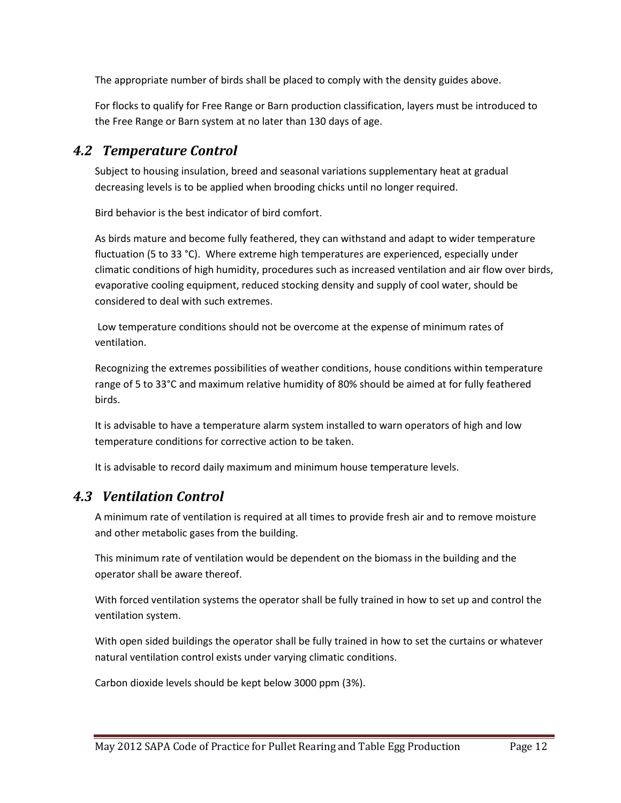The appropriate number of birds shall be placed to comply with the density guides above.

For flocks to qualify for Free Range or Barn production classification, layers must be introduced to the Free Range or Barn system at no later than 130 days of age.

### <span id="page-11-0"></span>*4.2 Temperature Control*

Subject to housing insulation, breed and seasonal variations supplementary heat at gradual decreasing levels is to be applied when brooding chicks until no longer required.

Bird behavior is the best indicator of bird comfort.

As birds mature and become fully feathered, they can withstand and adapt to wider temperature fluctuation (5 to 33 °C). Where extreme high temperatures are experienced, especially under climatic conditions of high humidity, procedures such as increased ventilation and air flow over birds, evaporative cooling equipment, reduced stocking density and supply of cool water, should be considered to deal with such extremes.

Low temperature conditions should not be overcome at the expense of minimum rates of ventilation.

Recognizing the extremes possibilities of weather conditions, house conditions within temperature range of 5 to 33°C and maximum relative humidity of 80% should be aimed at for fully feathered birds.

It is advisable to have a temperature alarm system installed to warn operators of high and low temperature conditions for corrective action to be taken.

It is advisable to record daily maximum and minimum house temperature levels.

### <span id="page-11-1"></span>*4.3 Ventilation Control*

A minimum rate of ventilation is required at all times to provide fresh air and to remove moisture and other metabolic gases from the building.

This minimum rate of ventilation would be dependent on the biomass in the building and the operator shall be aware thereof.

With forced ventilation systems the operator shall be fully trained in how to set up and control the ventilation system.

With open sided buildings the operator shall be fully trained in how to set the curtains or whatever natural ventilation control exists under varying climatic conditions.

Carbon dioxide levels should be kept below 3000 ppm (3%).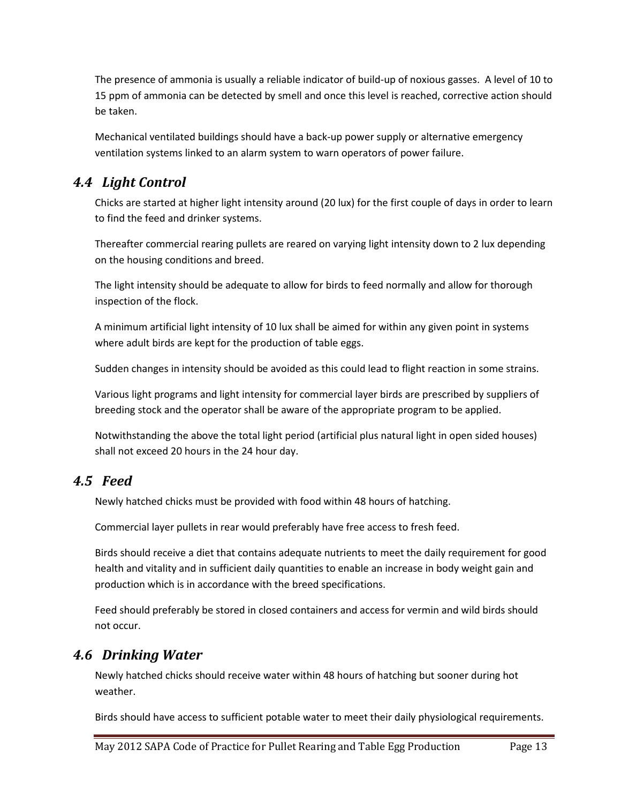The presence of ammonia is usually a reliable indicator of build-up of noxious gasses. A level of 10 to 15 ppm of ammonia can be detected by smell and once this level is reached, corrective action should be taken.

Mechanical ventilated buildings should have a back-up power supply or alternative emergency ventilation systems linked to an alarm system to warn operators of power failure.

### <span id="page-12-0"></span>*4.4 Light Control*

Chicks are started at higher light intensity around (20 lux) for the first couple of days in order to learn to find the feed and drinker systems.

Thereafter commercial rearing pullets are reared on varying light intensity down to 2 lux depending on the housing conditions and breed.

The light intensity should be adequate to allow for birds to feed normally and allow for thorough inspection of the flock.

A minimum artificial light intensity of 10 lux shall be aimed for within any given point in systems where adult birds are kept for the production of table eggs.

Sudden changes in intensity should be avoided as this could lead to flight reaction in some strains.

Various light programs and light intensity for commercial layer birds are prescribed by suppliers of breeding stock and the operator shall be aware of the appropriate program to be applied.

Notwithstanding the above the total light period (artificial plus natural light in open sided houses) shall not exceed 20 hours in the 24 hour day.

### <span id="page-12-1"></span>*4.5 Feed*

Newly hatched chicks must be provided with food within 48 hours of hatching.

Commercial layer pullets in rear would preferably have free access to fresh feed.

Birds should receive a diet that contains adequate nutrients to meet the daily requirement for good health and vitality and in sufficient daily quantities to enable an increase in body weight gain and production which is in accordance with the breed specifications.

Feed should preferably be stored in closed containers and access for vermin and wild birds should not occur.

### <span id="page-12-2"></span>*4.6 Drinking Water*

Newly hatched chicks should receive water within 48 hours of hatching but sooner during hot weather.

Birds should have access to sufficient potable water to meet their daily physiological requirements.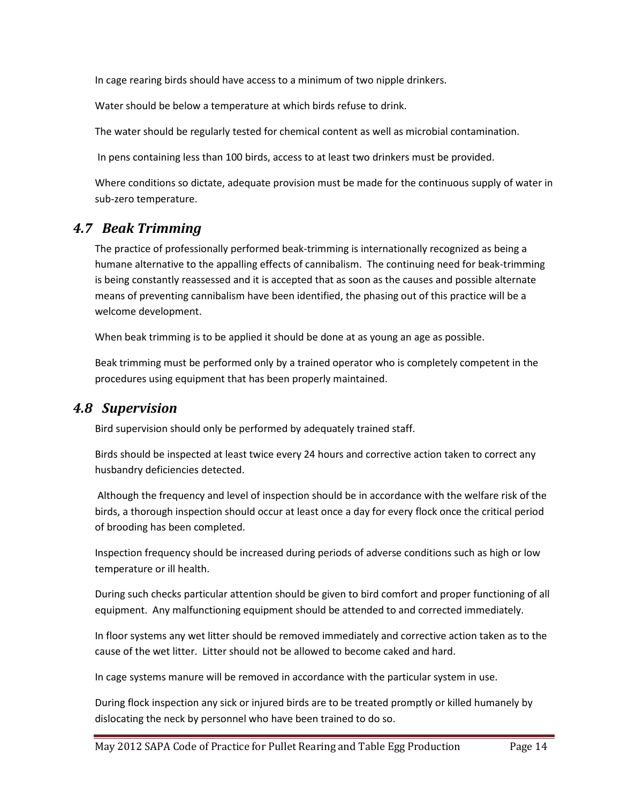In cage rearing birds should have access to a minimum of two nipple drinkers.

Water should be below a temperature at which birds refuse to drink.

The water should be regularly tested for chemical content as well as microbial contamination.

In pens containing less than 100 birds, access to at least two drinkers must be provided.

Where conditions so dictate, adequate provision must be made for the continuous supply of water in sub-zero temperature.

#### <span id="page-13-0"></span>*4.7 Beak Trimming*

The practice of professionally performed beak-trimming is internationally recognized as being a humane alternative to the appalling effects of cannibalism. The continuing need for beak-trimming is being constantly reassessed and it is accepted that as soon as the causes and possible alternate means of preventing cannibalism have been identified, the phasing out of this practice will be a welcome development.

When beak trimming is to be applied it should be done at as young an age as possible.

Beak trimming must be performed only by a trained operator who is completely competent in the procedures using equipment that has been properly maintained.

#### <span id="page-13-1"></span>*4.8 Supervision*

Bird supervision should only be performed by adequately trained staff.

Birds should be inspected at least twice every 24 hours and corrective action taken to correct any husbandry deficiencies detected.

Although the frequency and level of inspection should be in accordance with the welfare risk of the birds, a thorough inspection should occur at least once a day for every flock once the critical period of brooding has been completed.

Inspection frequency should be increased during periods of adverse conditions such as high or low temperature or ill health.

During such checks particular attention should be given to bird comfort and proper functioning of all equipment. Any malfunctioning equipment should be attended to and corrected immediately.

In floor systems any wet litter should be removed immediately and corrective action taken as to the cause of the wet litter. Litter should not be allowed to become caked and hard.

In cage systems manure will be removed in accordance with the particular system in use.

During flock inspection any sick or injured birds are to be treated promptly or killed humanely by dislocating the neck by personnel who have been trained to do so.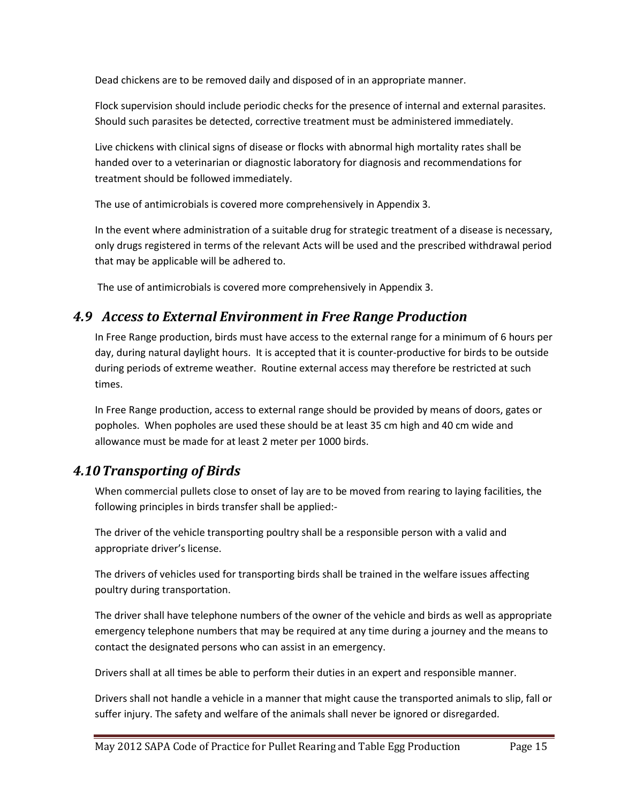Dead chickens are to be removed daily and disposed of in an appropriate manner.

Flock supervision should include periodic checks for the presence of internal and external parasites. Should such parasites be detected, corrective treatment must be administered immediately.

Live chickens with clinical signs of disease or flocks with abnormal high mortality rates shall be handed over to a veterinarian or diagnostic laboratory for diagnosis and recommendations for treatment should be followed immediately.

The use of antimicrobials is covered more comprehensively in Appendix 3.

In the event where administration of a suitable drug for strategic treatment of a disease is necessary, only drugs registered in terms of the relevant Acts will be used and the prescribed withdrawal period that may be applicable will be adhered to.

The use of antimicrobials is covered more comprehensively in Appendix 3.

### <span id="page-14-0"></span>*4.9 Access to External Environment in Free Range Production*

In Free Range production, birds must have access to the external range for a minimum of 6 hours per day, during natural daylight hours. It is accepted that it is counter-productive for birds to be outside during periods of extreme weather. Routine external access may therefore be restricted at such times.

In Free Range production, access to external range should be provided by means of doors, gates or popholes. When popholes are used these should be at least 35 cm high and 40 cm wide and allowance must be made for at least 2 meter per 1000 birds.

### <span id="page-14-1"></span>*4.10Transporting of Birds*

When commercial pullets close to onset of lay are to be moved from rearing to laying facilities, the following principles in birds transfer shall be applied:-

The driver of the vehicle transporting poultry shall be a responsible person with a valid and appropriate driver's license.

The drivers of vehicles used for transporting birds shall be trained in the welfare issues affecting poultry during transportation.

The driver shall have telephone numbers of the owner of the vehicle and birds as well as appropriate emergency telephone numbers that may be required at any time during a journey and the means to contact the designated persons who can assist in an emergency.

Drivers shall at all times be able to perform their duties in an expert and responsible manner.

Drivers shall not handle a vehicle in a manner that might cause the transported animals to slip, fall or suffer injury. The safety and welfare of the animals shall never be ignored or disregarded.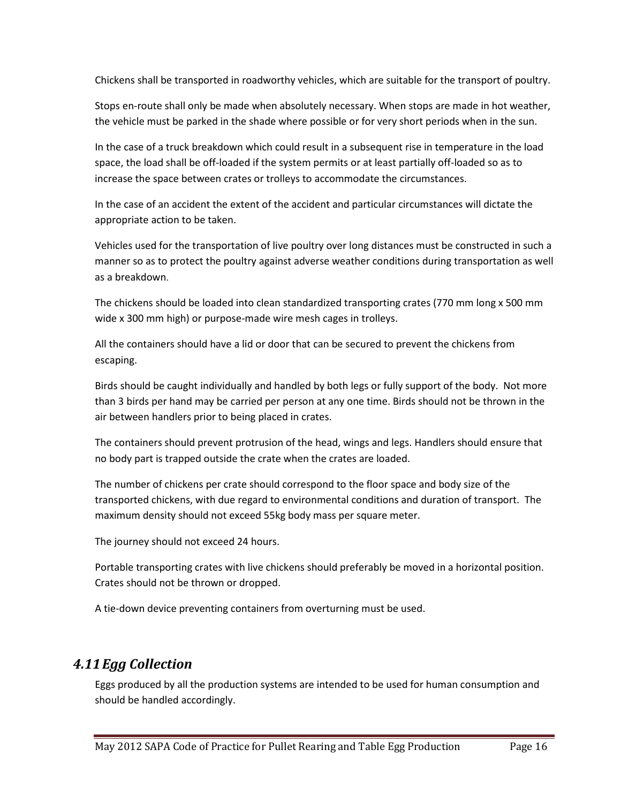Chickens shall be transported in roadworthy vehicles, which are suitable for the transport of poultry.

Stops en-route shall only be made when absolutely necessary. When stops are made in hot weather, the vehicle must be parked in the shade where possible or for very short periods when in the sun.

In the case of a truck breakdown which could result in a subsequent rise in temperature in the load space, the load shall be off-loaded if the system permits or at least partially off-loaded so as to increase the space between crates or trolleys to accommodate the circumstances.

In the case of an accident the extent of the accident and particular circumstances will dictate the appropriate action to be taken.

Vehicles used for the transportation of live poultry over long distances must be constructed in such a manner so as to protect the poultry against adverse weather conditions during transportation as well as a breakdown.

The chickens should be loaded into clean standardized transporting crates (770 mm long x 500 mm wide x 300 mm high) or purpose-made wire mesh cages in trolleys.

All the containers should have a lid or door that can be secured to prevent the chickens from escaping.

Birds should be caught individually and handled by both legs or fully support of the body. Not more than 3 birds per hand may be carried per person at any one time. Birds should not be thrown in the air between handlers prior to being placed in crates.

The containers should prevent protrusion of the head, wings and legs. Handlers should ensure that no body part is trapped outside the crate when the crates are loaded.

The number of chickens per crate should correspond to the floor space and body size of the transported chickens, with due regard to environmental conditions and duration of transport. The maximum density should not exceed 55kg body mass per square meter.

The journey should not exceed 24 hours.

Portable transporting crates with live chickens should preferably be moved in a horizontal position. Crates should not be thrown or dropped.

A tie-down device preventing containers from overturning must be used.

#### <span id="page-15-0"></span>*4.11Egg Collection*

Eggs produced by all the production systems are intended to be used for human consumption and should be handled accordingly.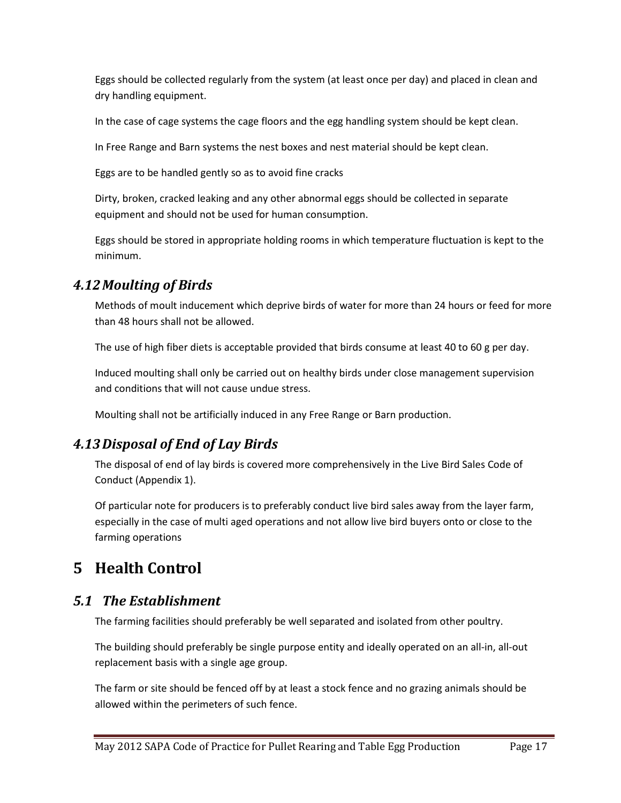Eggs should be collected regularly from the system (at least once per day) and placed in clean and dry handling equipment.

In the case of cage systems the cage floors and the egg handling system should be kept clean.

In Free Range and Barn systems the nest boxes and nest material should be kept clean.

Eggs are to be handled gently so as to avoid fine cracks

Dirty, broken, cracked leaking and any other abnormal eggs should be collected in separate equipment and should not be used for human consumption.

Eggs should be stored in appropriate holding rooms in which temperature fluctuation is kept to the minimum.

### <span id="page-16-0"></span>*4.12Moulting of Birds*

Methods of moult inducement which deprive birds of water for more than 24 hours or feed for more than 48 hours shall not be allowed.

The use of high fiber diets is acceptable provided that birds consume at least 40 to 60 g per day.

Induced moulting shall only be carried out on healthy birds under close management supervision and conditions that will not cause undue stress.

Moulting shall not be artificially induced in any Free Range or Barn production.

### <span id="page-16-1"></span>*4.13Disposal of End of Lay Birds*

The disposal of end of lay birds is covered more comprehensively in the Live Bird Sales Code of Conduct (Appendix 1).

Of particular note for producers is to preferably conduct live bird sales away from the layer farm, especially in the case of multi aged operations and not allow live bird buyers onto or close to the farming operations

# <span id="page-16-2"></span>**5 Health Control**

### <span id="page-16-3"></span>*5.1 The Establishment*

The farming facilities should preferably be well separated and isolated from other poultry.

The building should preferably be single purpose entity and ideally operated on an all-in, all-out replacement basis with a single age group.

The farm or site should be fenced off by at least a stock fence and no grazing animals should be allowed within the perimeters of such fence.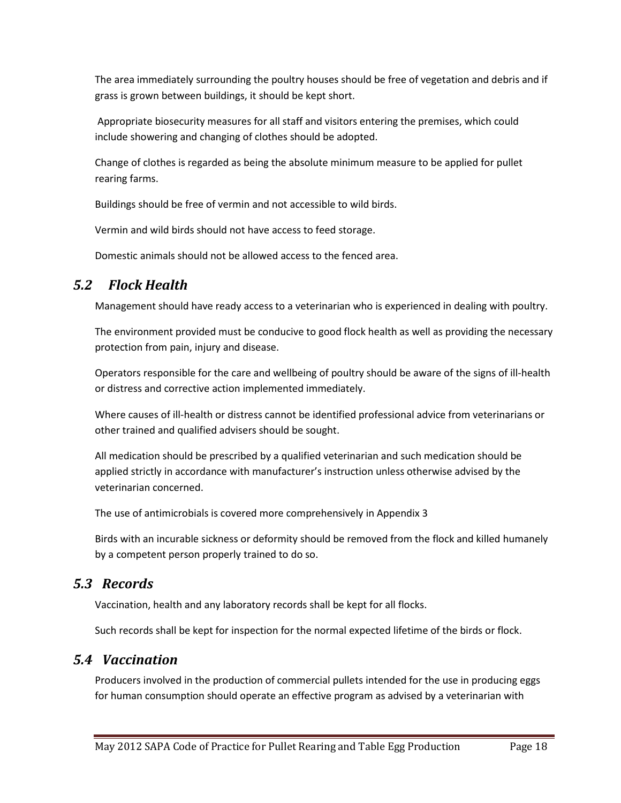The area immediately surrounding the poultry houses should be free of vegetation and debris and if grass is grown between buildings, it should be kept short.

Appropriate biosecurity measures for all staff and visitors entering the premises, which could include showering and changing of clothes should be adopted.

Change of clothes is regarded as being the absolute minimum measure to be applied for pullet rearing farms.

Buildings should be free of vermin and not accessible to wild birds.

Vermin and wild birds should not have access to feed storage.

Domestic animals should not be allowed access to the fenced area.

### *5.2 Flock Health*

<span id="page-17-0"></span>Management should have ready access to a veterinarian who is experienced in dealing with poultry.

The environment provided must be conducive to good flock health as well as providing the necessary protection from pain, injury and disease.

Operators responsible for the care and wellbeing of poultry should be aware of the signs of ill-health or distress and corrective action implemented immediately.

Where causes of ill-health or distress cannot be identified professional advice from veterinarians or other trained and qualified advisers should be sought.

All medication should be prescribed by a qualified veterinarian and such medication should be applied strictly in accordance with manufacturer's instruction unless otherwise advised by the veterinarian concerned.

The use of antimicrobials is covered more comprehensively in Appendix 3

Birds with an incurable sickness or deformity should be removed from the flock and killed humanely by a competent person properly trained to do so.

### <span id="page-17-1"></span>*5.3 Records*

Vaccination, health and any laboratory records shall be kept for all flocks.

Such records shall be kept for inspection for the normal expected lifetime of the birds or flock.

### <span id="page-17-2"></span>*5.4 Vaccination*

Producers involved in the production of commercial pullets intended for the use in producing eggs for human consumption should operate an effective program as advised by a veterinarian with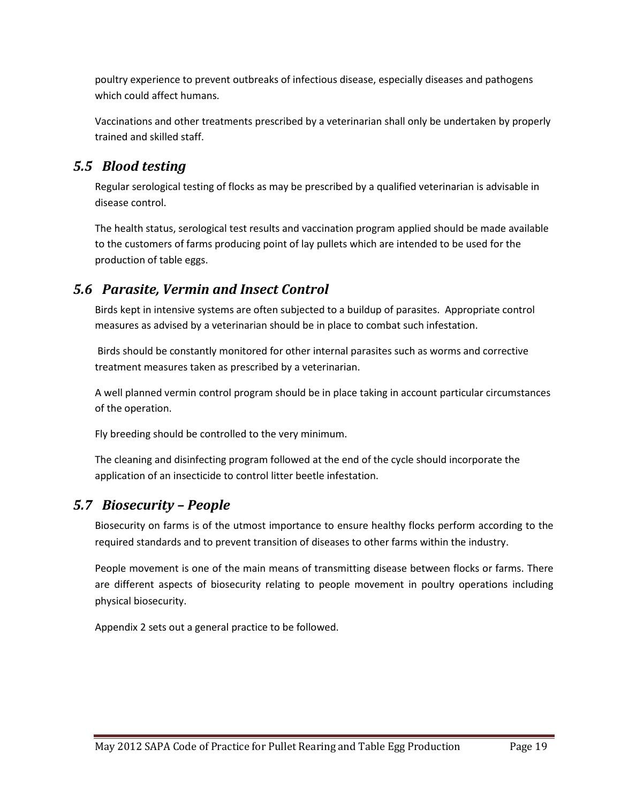poultry experience to prevent outbreaks of infectious disease, especially diseases and pathogens which could affect humans.

Vaccinations and other treatments prescribed by a veterinarian shall only be undertaken by properly trained and skilled staff.

### <span id="page-18-0"></span>*5.5 Blood testing*

Regular serological testing of flocks as may be prescribed by a qualified veterinarian is advisable in disease control.

The health status, serological test results and vaccination program applied should be made available to the customers of farms producing point of lay pullets which are intended to be used for the production of table eggs.

### <span id="page-18-1"></span>*5.6 Parasite, Vermin and Insect Control*

Birds kept in intensive systems are often subjected to a buildup of parasites. Appropriate control measures as advised by a veterinarian should be in place to combat such infestation.

Birds should be constantly monitored for other internal parasites such as worms and corrective treatment measures taken as prescribed by a veterinarian.

A well planned vermin control program should be in place taking in account particular circumstances of the operation.

Fly breeding should be controlled to the very minimum.

The cleaning and disinfecting program followed at the end of the cycle should incorporate the application of an insecticide to control litter beetle infestation.

### <span id="page-18-2"></span>*5.7 Biosecurity – People*

Biosecurity on farms is of the utmost importance to ensure healthy flocks perform according to the required standards and to prevent transition of diseases to other farms within the industry.

People movement is one of the main means of transmitting disease between flocks or farms. There are different aspects of biosecurity relating to people movement in poultry operations including physical biosecurity.

Appendix 2 sets out a general practice to be followed.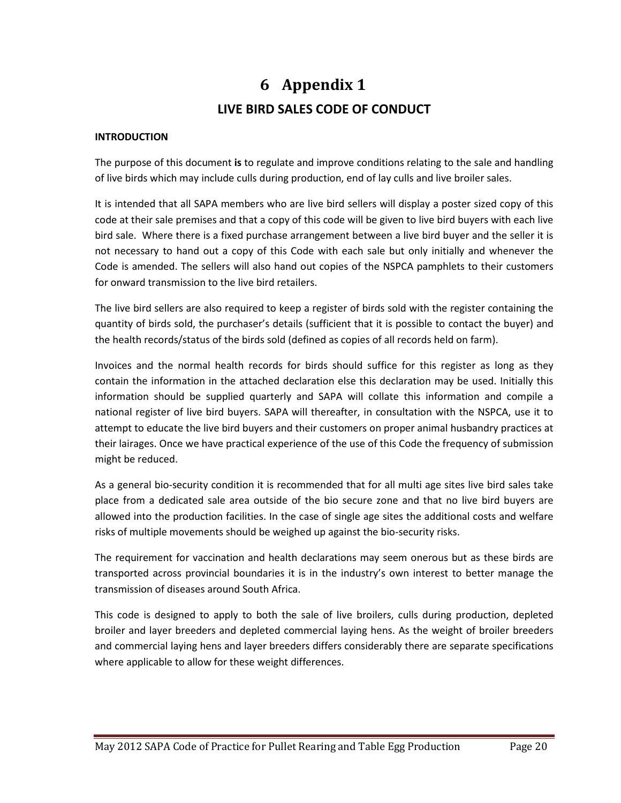# **6 Appendix 1 LIVE BIRD SALES CODE OF CONDUCT**

#### <span id="page-19-0"></span>**INTRODUCTION**

The purpose of this document **is** to regulate and improve conditions relating to the sale and handling of live birds which may include culls during production, end of lay culls and live broiler sales.

It is intended that all SAPA members who are live bird sellers will display a poster sized copy of this code at their sale premises and that a copy of this code will be given to live bird buyers with each live bird sale. Where there is a fixed purchase arrangement between a live bird buyer and the seller it is not necessary to hand out a copy of this Code with each sale but only initially and whenever the Code is amended. The sellers will also hand out copies of the NSPCA pamphlets to their customers for onward transmission to the live bird retailers.

The live bird sellers are also required to keep a register of birds sold with the register containing the quantity of birds sold, the purchaser's details (sufficient that it is possible to contact the buyer) and the health records/status of the birds sold (defined as copies of all records held on farm).

Invoices and the normal health records for birds should suffice for this register as long as they contain the information in the attached declaration else this declaration may be used. Initially this information should be supplied quarterly and SAPA will collate this information and compile a national register of live bird buyers. SAPA will thereafter, in consultation with the NSPCA, use it to attempt to educate the live bird buyers and their customers on proper animal husbandry practices at their lairages. Once we have practical experience of the use of this Code the frequency of submission might be reduced.

As a general bio-security condition it is recommended that for all multi age sites live bird sales take place from a dedicated sale area outside of the bio secure zone and that no live bird buyers are allowed into the production facilities. In the case of single age sites the additional costs and welfare risks of multiple movements should be weighed up against the bio-security risks.

The requirement for vaccination and health declarations may seem onerous but as these birds are transported across provincial boundaries it is in the industry's own interest to better manage the transmission of diseases around South Africa.

This code is designed to apply to both the sale of live broilers, culls during production, depleted broiler and layer breeders and depleted commercial laying hens. As the weight of broiler breeders and commercial laying hens and layer breeders differs considerably there are separate specifications where applicable to allow for these weight differences.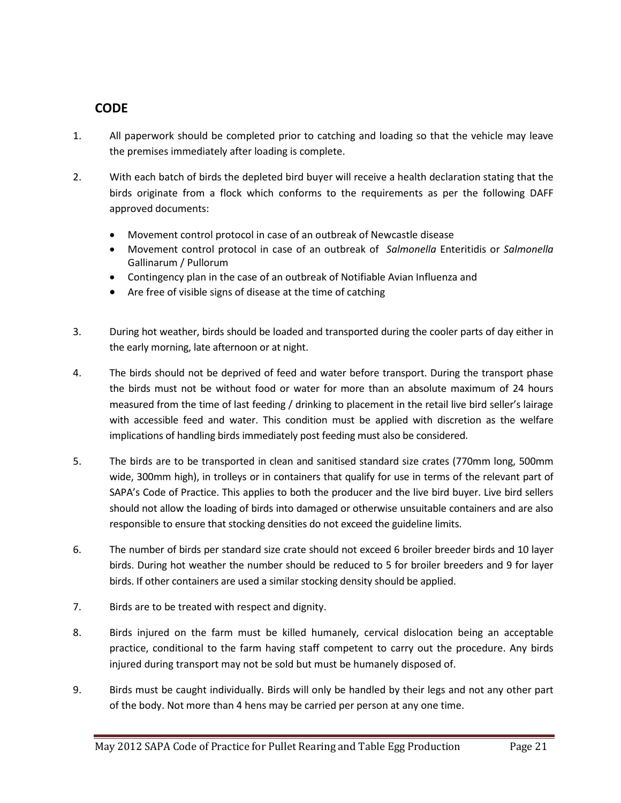#### **CODE**

- 1. All paperwork should be completed prior to catching and loading so that the vehicle may leave the premises immediately after loading is complete.
- 2. With each batch of birds the depleted bird buyer will receive a health declaration stating that the birds originate from a flock which conforms to the requirements as per the following DAFF approved documents:
	- Movement control protocol in case of an outbreak of Newcastle disease
	- Movement control protocol in case of an outbreak of *Salmonella* Enteritidis or *Salmonella* Gallinarum / Pullorum
	- Contingency plan in the case of an outbreak of Notifiable Avian Influenza and
	- Are free of visible signs of disease at the time of catching
- 3. During hot weather, birds should be loaded and transported during the cooler parts of day either in the early morning, late afternoon or at night.
- 4. The birds should not be deprived of feed and water before transport. During the transport phase the birds must not be without food or water for more than an absolute maximum of 24 hours measured from the time of last feeding / drinking to placement in the retail live bird seller's lairage with accessible feed and water. This condition must be applied with discretion as the welfare implications of handling birds immediately post feeding must also be considered.
- 5. The birds are to be transported in clean and sanitised standard size crates (770mm long, 500mm wide, 300mm high), in trolleys or in containers that qualify for use in terms of the relevant part of SAPA's Code of Practice. This applies to both the producer and the live bird buyer. Live bird sellers should not allow the loading of birds into damaged or otherwise unsuitable containers and are also responsible to ensure that stocking densities do not exceed the guideline limits.
- 6. The number of birds per standard size crate should not exceed 6 broiler breeder birds and 10 layer birds. During hot weather the number should be reduced to 5 for broiler breeders and 9 for layer birds. If other containers are used a similar stocking density should be applied.
- 7. Birds are to be treated with respect and dignity.
- 8. Birds injured on the farm must be killed humanely, cervical dislocation being an acceptable practice, conditional to the farm having staff competent to carry out the procedure. Any birds injured during transport may not be sold but must be humanely disposed of.
- 9. Birds must be caught individually. Birds will only be handled by their legs and not any other part of the body. Not more than 4 hens may be carried per person at any one time.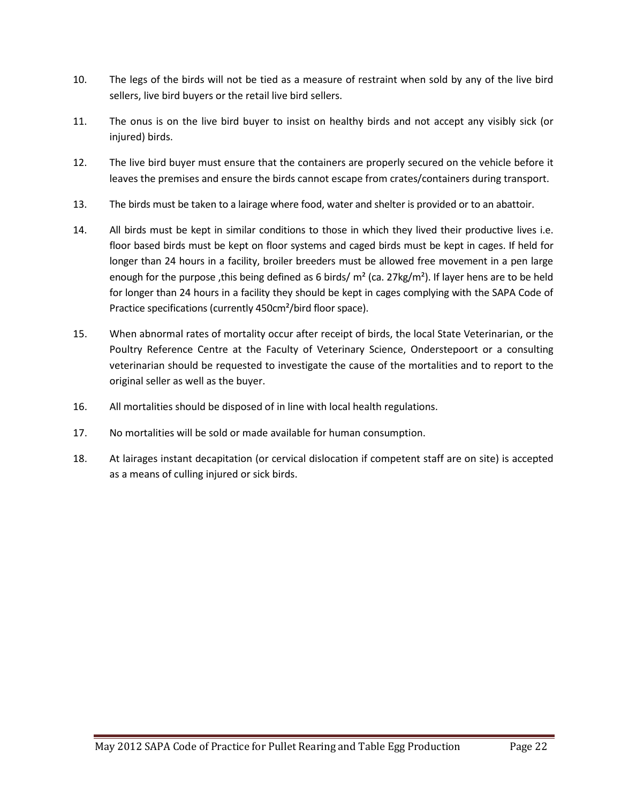- 10. The legs of the birds will not be tied as a measure of restraint when sold by any of the live bird sellers, live bird buyers or the retail live bird sellers.
- 11. The onus is on the live bird buyer to insist on healthy birds and not accept any visibly sick (or injured) birds.
- 12. The live bird buyer must ensure that the containers are properly secured on the vehicle before it leaves the premises and ensure the birds cannot escape from crates/containers during transport.
- 13. The birds must be taken to a lairage where food, water and shelter is provided or to an abattoir.
- 14. All birds must be kept in similar conditions to those in which they lived their productive lives i.e. floor based birds must be kept on floor systems and caged birds must be kept in cages. If held for longer than 24 hours in a facility, broiler breeders must be allowed free movement in a pen large enough for the purpose, this being defined as 6 birds/  $m^2$  (ca. 27kg/m<sup>2</sup>). If layer hens are to be held for longer than 24 hours in a facility they should be kept in cages complying with the SAPA Code of Practice specifications (currently 450cm²/bird floor space).
- 15. When abnormal rates of mortality occur after receipt of birds, the local State Veterinarian, or the Poultry Reference Centre at the Faculty of Veterinary Science, Onderstepoort or a consulting veterinarian should be requested to investigate the cause of the mortalities and to report to the original seller as well as the buyer.
- 16. All mortalities should be disposed of in line with local health regulations.
- 17. No mortalities will be sold or made available for human consumption.
- 18. At lairages instant decapitation (or cervical dislocation if competent staff are on site) is accepted as a means of culling injured or sick birds.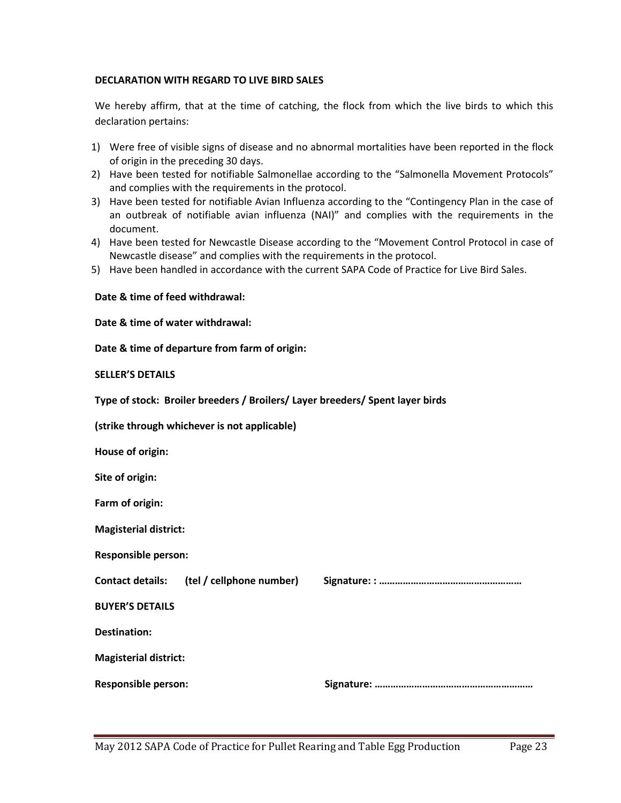#### **DECLARATION WITH REGARD TO LIVE BIRD SALES**

We hereby affirm, that at the time of catching, the flock from which the live birds to which this declaration pertains:

- 1) Were free of visible signs of disease and no abnormal mortalities have been reported in the flock of origin in the preceding 30 days.
- 2) Have been tested for notifiable Salmonellae according to the "Salmonella Movement Protocols" and complies with the requirements in the protocol.
- 3) Have been tested for notifiable Avian Influenza according to the "Contingency Plan in the case of an outbreak of notifiable avian influenza (NAI)" and complies with the requirements in the document.
- 4) Have been tested for Newcastle Disease according to the "Movement Control Protocol in case of Newcastle disease" and complies with the requirements in the protocol.
- 5) Have been handled in accordance with the current SAPA Code of Practice for Live Bird Sales.

#### **Date & time of feed withdrawal:**

**Date & time of water withdrawal:** 

**Date & time of departure from farm of origin:** 

#### **SELLER'S DETAILS**

**Type of stock: Broiler breeders / Broilers/ Layer breeders/ Spent layer birds** 

**(strike through whichever is not applicable)**

**House of origin:**

**Site of origin:** 

**Farm of origin:** 

**Magisterial district:** 

**Responsible person:** 

**Contact details: (tel / cellphone number) Signature: : ………………………………………………**

**BUYER'S DETAILS**

**Destination:**

**Magisterial district:**

**Responsible person: Signature: ……………………………………………………**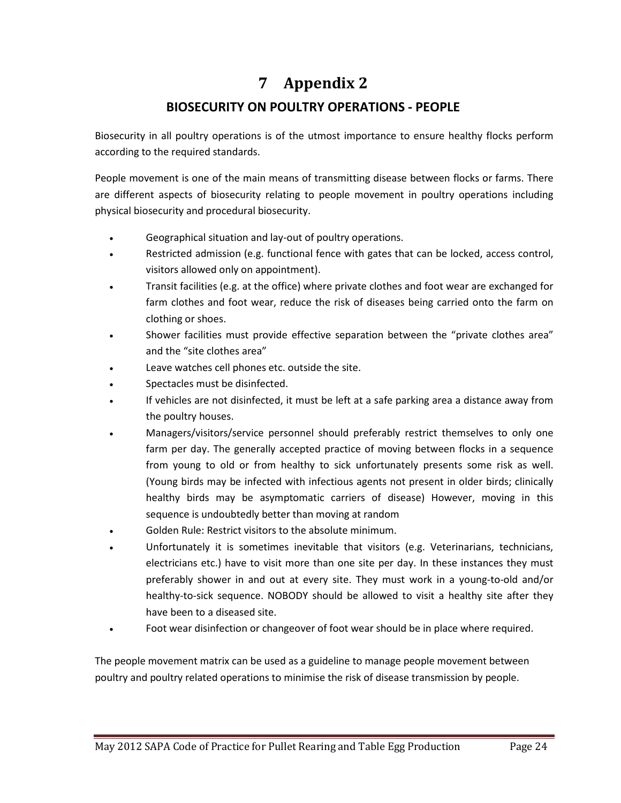# <span id="page-23-0"></span>**7 Appendix 2**

### **BIOSECURITY ON POULTRY OPERATIONS - PEOPLE**

Biosecurity in all poultry operations is of the utmost importance to ensure healthy flocks perform according to the required standards.

People movement is one of the main means of transmitting disease between flocks or farms. There are different aspects of biosecurity relating to people movement in poultry operations including physical biosecurity and procedural biosecurity.

- Geographical situation and lay-out of poultry operations.
- Restricted admission (e.g. functional fence with gates that can be locked, access control, visitors allowed only on appointment).
- Transit facilities (e.g. at the office) where private clothes and foot wear are exchanged for farm clothes and foot wear, reduce the risk of diseases being carried onto the farm on clothing or shoes.
- Shower facilities must provide effective separation between the "private clothes area" and the "site clothes area"
- Leave watches cell phones etc. outside the site.
- Spectacles must be disinfected.
- If vehicles are not disinfected, it must be left at a safe parking area a distance away from the poultry houses.
- Managers/visitors/service personnel should preferably restrict themselves to only one farm per day. The generally accepted practice of moving between flocks in a sequence from young to old or from healthy to sick unfortunately presents some risk as well. (Young birds may be infected with infectious agents not present in older birds; clinically healthy birds may be asymptomatic carriers of disease) However, moving in this sequence is undoubtedly better than moving at random
- Golden Rule: Restrict visitors to the absolute minimum.
- Unfortunately it is sometimes inevitable that visitors (e.g. Veterinarians, technicians, electricians etc.) have to visit more than one site per day. In these instances they must preferably shower in and out at every site. They must work in a young-to-old and/or healthy-to-sick sequence. NOBODY should be allowed to visit a healthy site after they have been to a diseased site.
- Foot wear disinfection or changeover of foot wear should be in place where required.

The people movement matrix can be used as a guideline to manage people movement between poultry and poultry related operations to minimise the risk of disease transmission by people.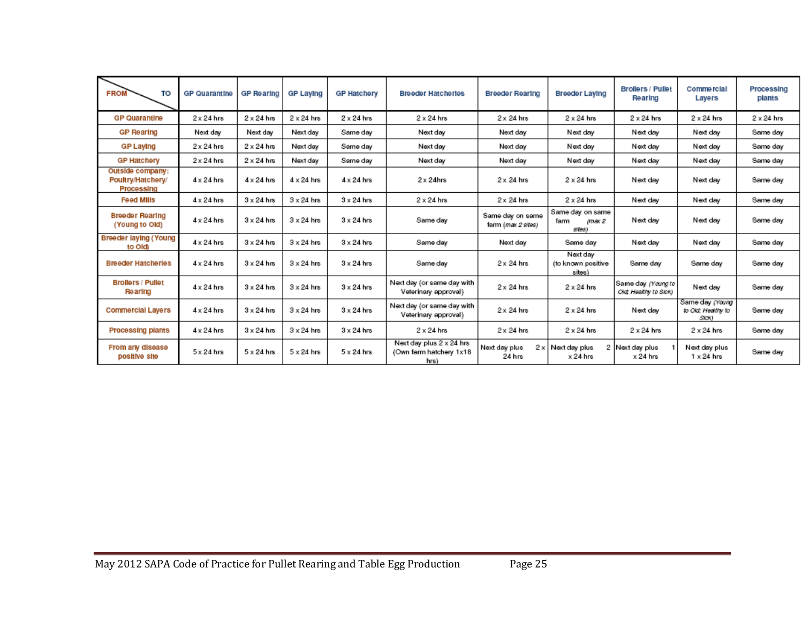| <b>FROM</b><br>TO                                   | <b>GP Quarantine</b> | GP Rearing        | GP Laying         | <b>GP Hatchery</b> | <b>Breeder Hatcherles</b>                                   | <b>Breeder Rearing</b>                 | Breeder Laying                               | <b>Brollers / Pullet</b><br>Rearing        | Commercial<br>Layers                           | Processing<br>plants |
|-----------------------------------------------------|----------------------|-------------------|-------------------|--------------------|-------------------------------------------------------------|----------------------------------------|----------------------------------------------|--------------------------------------------|------------------------------------------------|----------------------|
| <b>GP Quarantine</b>                                | $2 \times 24$ hrs    | $2 \times 24$ hrs | $2 \times 24$ hrs | $2 \times 24$ hrs  | $2 \times 24$ hrs                                           | $2 \times 24$ hrs                      | $2 \times 24$ hrs                            | $2 \times 24$ hrs                          | $2 \times 24$ hrs                              | $2 \times 24$ hrs    |
| <b>GP Rearing</b>                                   | Next day             | Next day          | Next day          | Same day           | Next day                                                    | Next day                               | Next day                                     | Next day                                   | Next day                                       | Same day             |
| <b>GP Laying</b>                                    | $2 \times 24$ hrs    | $2 \times 24$ hrs | Next day          | Same day           | Next day                                                    | Next day                               | Next day                                     | Next day                                   | Next day                                       | Same day             |
| <b>GP Hatchery</b>                                  | $2 \times 24$ hrs    | $2 \times 24$ hrs | Next day          | Same day           | Next day                                                    | Next day                               | Next day                                     | Next day                                   | Next day                                       | Same day             |
| Outside company:<br>Poultry/Hatchery/<br>Processing | $4 \times 24$ hrs    | $4 \times 24$ hrs | $4 \times 24$ hrs | $4 \times 24$ hrs  | $2 \times 24$ hrs                                           | $2 \times 24$ hrs                      | $2 \times 24$ hrs                            | Next day                                   | Next day                                       | Same day             |
| <b>Feed Mills</b>                                   | $4 \times 24$ hrs    | $3 \times 24$ hrs | $3 \times 24$ hrs | $3 \times 24$ hrs  | $2 \times 24$ hrs                                           | $2 \times 24$ hrs                      | $2 \times 24$ hrs                            | Next day                                   | Next day                                       | Same day             |
| <b>Breeder Rearing</b><br>(Young to Old)            | $4 \times 24$ hrs    | $3 \times 24$ hrs | $3 \times 24$ hrs | $3 \times 24$ hrs  | Same day                                                    | Same day on same<br>farm (max 2 sites) | Same day on same<br>farm<br>imax 2<br>sites) | Next day                                   | Next day                                       | Same day             |
| Breeder laying (Young<br>to Oldi                    | $4 \times 24$ hrs    | $3 \times 24$ hrs | $3 \times 24$ hrs | $3 \times 24$ hrs  | Same day                                                    | Next day                               | Same day                                     | Next day                                   | Next day                                       | Same day             |
| <b>Breeder Hatcherles</b>                           | $4 \times 24$ hrs    | $3 \times 24$ hrs | $3 \times 24$ hrs | $3 \times 24$ hrs  | Same day                                                    | $2 \times 24$ hrs                      | Next day<br>(to known positive<br>sites)     | Same day                                   | Same day                                       | Same day             |
| <b>Brollers / Pullet</b><br><b>Rearing</b>          | $4 \times 24$ hrs    | $3 \times 24$ hrs | $3 \times 24$ hrs | $3 \times 24$ hrs  | Next day (or same day with<br>Veterinary approval)          | $2 \times 24$ hrs                      | $2 \times 24$ hrs                            | Same day (Young to<br>Cld Healthy to Sick) | Next day                                       | Same day             |
| <b>Commercial Layers</b>                            | $4 \times 24$ hrs    | $3 \times 24$ hrs | $3 \times 24$ hrs | $3 \times 24$ hrs  | Next day (or same day with<br>Veterinary approval)          | $2 \times 24$ hrs                      | $2 \times 24$ hrs                            | Next day                                   | Same day (Young<br>to Ckt; Healthy to<br>Sick) | Same day             |
| <b>Processing plants</b>                            | $4 \times 24$ hrs    | $3 \times 24$ hrs | $3 \times 24$ hrs | $3 \times 24$ hrs  | $2 \times 24$ hrs                                           | $2 \times 24$ hrs                      | $2 \times 24$ hrs                            | $2 \times 24$ hrs                          | $2 \times 24$ hrs                              | Same day             |
| From any disease<br>positive site                   | $5 \times 24$ hrs    | $5 \times 24$ hrs | $5 \times 24$ hrs | $5 \times 24$ hrs  | Next day plus 2 x 24 hrs<br>(Own farm hatchery 1x18<br>hrs) | Next day plus<br>2x<br>24 hrs          | Next day plus<br>$\times$ 24 hrs             | 2 Next day plus<br>$\times$ 24 hrs         | Next day plus<br>$1 \times 24$ hrs             | Same day             |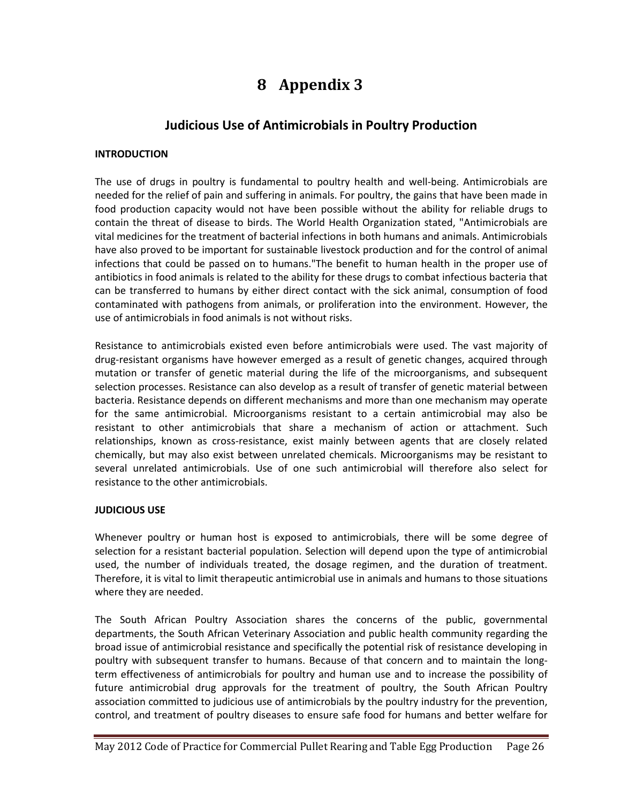# **8 Appendix 3**

#### **Judicious Use of Antimicrobials in Poultry Production**

#### <span id="page-25-0"></span>**INTRODUCTION**

The use of drugs in poultry is fundamental to poultry health and well-being. Antimicrobials are needed for the relief of pain and suffering in animals. For poultry, the gains that have been made in food production capacity would not have been possible without the ability for reliable drugs to contain the threat of disease to birds. The World Health Organization stated, "Antimicrobials are vital medicines for the treatment of bacterial infections in both humans and animals. Antimicrobials have also proved to be important for sustainable livestock production and for the control of animal infections that could be passed on to humans."The benefit to human health in the proper use of antibiotics in food animals is related to the ability for these drugs to combat infectious bacteria that can be transferred to humans by either direct contact with the sick animal, consumption of food contaminated with pathogens from animals, or proliferation into the environment. However, the use of antimicrobials in food animals is not without risks.

Resistance to antimicrobials existed even before antimicrobials were used. The vast majority of drug-resistant organisms have however emerged as a result of genetic changes, acquired through mutation or transfer of genetic material during the life of the microorganisms, and subsequent selection processes. Resistance can also develop as a result of transfer of genetic material between bacteria. Resistance depends on different mechanisms and more than one mechanism may operate for the same antimicrobial. Microorganisms resistant to a certain antimicrobial may also be resistant to other antimicrobials that share a mechanism of action or attachment. Such relationships, known as cross-resistance, exist mainly between agents that are closely related chemically, but may also exist between unrelated chemicals. Microorganisms may be resistant to several unrelated antimicrobials. Use of one such antimicrobial will therefore also select for resistance to the other antimicrobials.

#### **JUDICIOUS USE**

Whenever poultry or human host is exposed to antimicrobials, there will be some degree of selection for a resistant bacterial population. Selection will depend upon the type of antimicrobial used, the number of individuals treated, the dosage regimen, and the duration of treatment. Therefore, it is vital to limit therapeutic antimicrobial use in animals and humans to those situations where they are needed.

The South African Poultry Association shares the concerns of the public, governmental departments, the South African Veterinary Association and public health community regarding the broad issue of antimicrobial resistance and specifically the potential risk of resistance developing in poultry with subsequent transfer to humans. Because of that concern and to maintain the longterm effectiveness of antimicrobials for poultry and human use and to increase the possibility of future antimicrobial drug approvals for the treatment of poultry, the South African Poultry association committed to judicious use of antimicrobials by the poultry industry for the prevention, control, and treatment of poultry diseases to ensure safe food for humans and better welfare for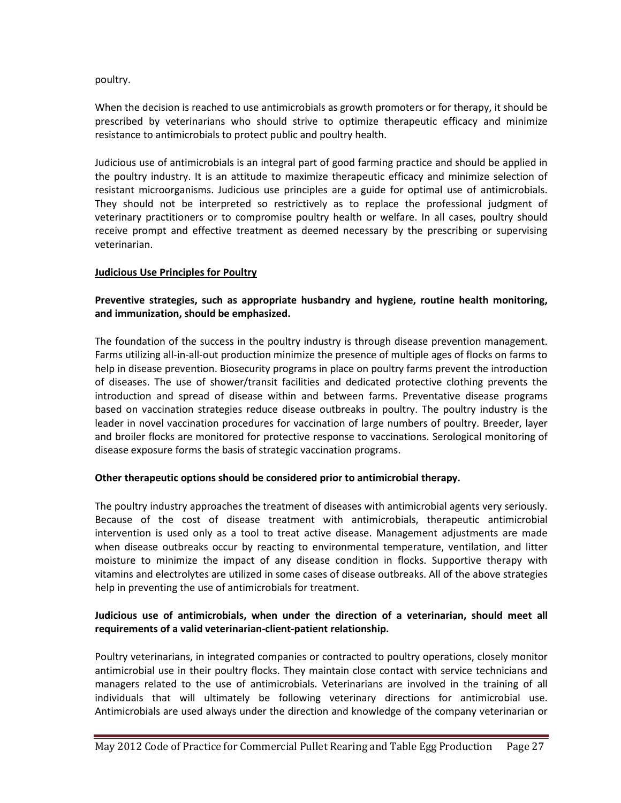#### poultry.

When the decision is reached to use antimicrobials as growth promoters or for therapy, it should be prescribed by veterinarians who should strive to optimize therapeutic efficacy and minimize resistance to antimicrobials to protect public and poultry health.

Judicious use of antimicrobials is an integral part of good farming practice and should be applied in the poultry industry. It is an attitude to maximize therapeutic efficacy and minimize selection of resistant microorganisms. Judicious use principles are a guide for optimal use of antimicrobials. They should not be interpreted so restrictively as to replace the professional judgment of veterinary practitioners or to compromise poultry health or welfare. In all cases, poultry should receive prompt and effective treatment as deemed necessary by the prescribing or supervising veterinarian.

#### **Judicious Use Principles for Poultry**

#### **Preventive strategies, such as appropriate husbandry and hygiene, routine health monitoring, and immunization, should be emphasized.**

The foundation of the success in the poultry industry is through disease prevention management. Farms utilizing all-in-all-out production minimize the presence of multiple ages of flocks on farms to help in disease prevention. Biosecurity programs in place on poultry farms prevent the introduction of diseases. The use of shower/transit facilities and dedicated protective clothing prevents the introduction and spread of disease within and between farms. Preventative disease programs based on vaccination strategies reduce disease outbreaks in poultry. The poultry industry is the leader in novel vaccination procedures for vaccination of large numbers of poultry. Breeder, layer and broiler flocks are monitored for protective response to vaccinations. Serological monitoring of disease exposure forms the basis of strategic vaccination programs.

#### **Other therapeutic options should be considered prior to antimicrobial therapy.**

The poultry industry approaches the treatment of diseases with antimicrobial agents very seriously. Because of the cost of disease treatment with antimicrobials, therapeutic antimicrobial intervention is used only as a tool to treat active disease. Management adjustments are made when disease outbreaks occur by reacting to environmental temperature, ventilation, and litter moisture to minimize the impact of any disease condition in flocks. Supportive therapy with vitamins and electrolytes are utilized in some cases of disease outbreaks. All of the above strategies help in preventing the use of antimicrobials for treatment.

#### **Judicious use of antimicrobials, when under the direction of a veterinarian, should meet all requirements of a valid veterinarian-client-patient relationship.**

Poultry veterinarians, in integrated companies or contracted to poultry operations, closely monitor antimicrobial use in their poultry flocks. They maintain close contact with service technicians and managers related to the use of antimicrobials. Veterinarians are involved in the training of all individuals that will ultimately be following veterinary directions for antimicrobial use. Antimicrobials are used always under the direction and knowledge of the company veterinarian or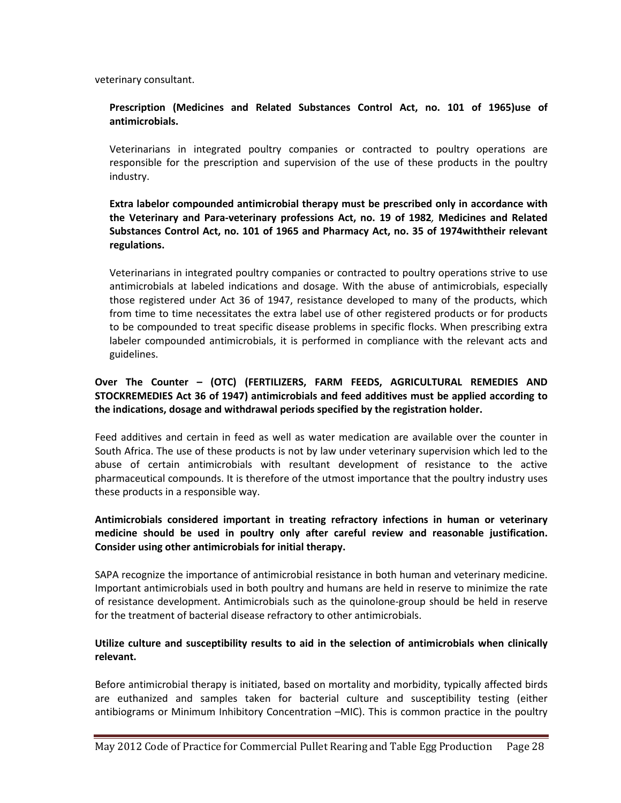veterinary consultant.

#### **Prescription (Medicines and Related Substances Control Act, no. 101 of 1965)use of antimicrobials.**

Veterinarians in integrated poultry companies or contracted to poultry operations are responsible for the prescription and supervision of the use of these products in the poultry industry.

#### **Extra labelor compounded antimicrobial therapy must be prescribed only in accordance with the Veterinary and Para-veterinary professions Act, no. 19 of 1982***,* **Medicines and Related Substances Control Act, no. 101 of 1965 and Pharmacy Act, no. 35 of 1974withtheir relevant regulations.**

Veterinarians in integrated poultry companies or contracted to poultry operations strive to use antimicrobials at labeled indications and dosage. With the abuse of antimicrobials, especially those registered under Act 36 of 1947, resistance developed to many of the products, which from time to time necessitates the extra label use of other registered products or for products to be compounded to treat specific disease problems in specific flocks. When prescribing extra labeler compounded antimicrobials, it is performed in compliance with the relevant acts and guidelines.

#### **Over The Counter – (OTC) (FERTILIZERS, FARM FEEDS, AGRICULTURAL REMEDIES AND STOCKREMEDIES Act 36 of 1947) antimicrobials and feed additives must be applied according to the indications, dosage and withdrawal periods specified by the registration holder.**

Feed additives and certain in feed as well as water medication are available over the counter in South Africa. The use of these products is not by law under veterinary supervision which led to the abuse of certain antimicrobials with resultant development of resistance to the active pharmaceutical compounds. It is therefore of the utmost importance that the poultry industry uses these products in a responsible way.

#### **Antimicrobials considered important in treating refractory infections in human or veterinary medicine should be used in poultry only after careful review and reasonable justification. Consider using other antimicrobials for initial therapy.**

SAPA recognize the importance of antimicrobial resistance in both human and veterinary medicine. Important antimicrobials used in both poultry and humans are held in reserve to minimize the rate of resistance development. Antimicrobials such as the quinolone-group should be held in reserve for the treatment of bacterial disease refractory to other antimicrobials.

#### **Utilize culture and susceptibility results to aid in the selection of antimicrobials when clinically relevant.**

Before antimicrobial therapy is initiated, based on mortality and morbidity, typically affected birds are euthanized and samples taken for bacterial culture and susceptibility testing (either antibiograms or Minimum Inhibitory Concentration –MIC). This is common practice in the poultry